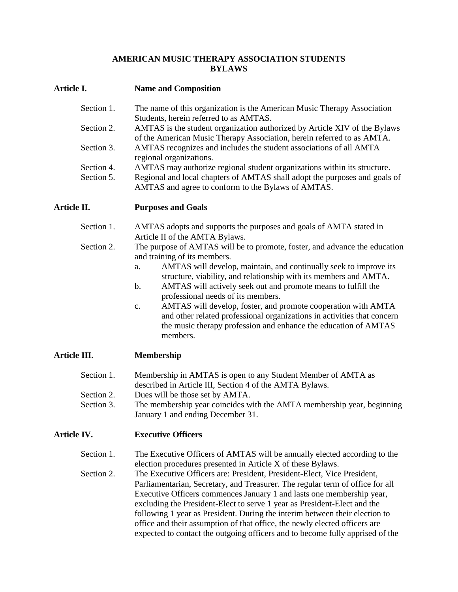#### **AMERICAN MUSIC THERAPY ASSOCIATION STUDENTS BYLAWS**

### **Article I. Name and Composition**

| Section 1. | The name of this organization is the American Music Therapy Association    |
|------------|----------------------------------------------------------------------------|
|            | Students, herein referred to as AMTAS.                                     |
| Section 2. | AMTAS is the student organization authorized by Article XIV of the Bylaws  |
|            | of the American Music Therapy Association, herein referred to as AMTA.     |
| Section 3. | AMTAS recognizes and includes the student associations of all AMTA         |
|            | regional organizations.                                                    |
| Section 4. | AMTAS may authorize regional student organizations within its structure.   |
| Section 5. | Regional and local chapters of AMTAS shall adopt the purposes and goals of |
|            | AMTAS and agree to conform to the Bylaws of AMTAS.                         |

**Article II. Purposes and Goals**

- Section 1. AMTAS adopts and supports the purposes and goals of AMTA stated in Article II of the AMTA Bylaws.
- Section 2. The purpose of AMTAS will be to promote, foster, and advance the education and training of its members.
	- a. AMTAS will develop, maintain, and continually seek to improve its structure, viability, and relationship with its members and AMTA.
	- b. AMTAS will actively seek out and promote means to fulfill the professional needs of its members.
	- c. AMTAS will develop, foster, and promote cooperation with AMTA and other related professional organizations in activities that concern the music therapy profession and enhance the education of AMTAS members.

# **Article III. Membership**

| Section 1. | Membership in AMTAS is open to any Student Member of AMTA as           |
|------------|------------------------------------------------------------------------|
|            | described in Article III, Section 4 of the AMTA Bylaws.                |
| Section 2. | Dues will be those set by AMTA.                                        |
| Section 3. | The membership year coincides with the AMTA membership year, beginning |
|            | January 1 and ending December 31.                                      |

# **Article IV. Executive Officers**

Section 1. The Executive Officers of AMTAS will be annually elected according to the election procedures presented in Article X of these Bylaws.

Section 2. The Executive Officers are: President, President-Elect, Vice President, Parliamentarian, Secretary, and Treasurer. The regular term of office for all Executive Officers commences January 1 and lasts one membership year, excluding the President-Elect to serve 1 year as President-Elect and the following 1 year as President. During the interim between their election to office and their assumption of that office, the newly elected officers are expected to contact the outgoing officers and to become fully apprised of the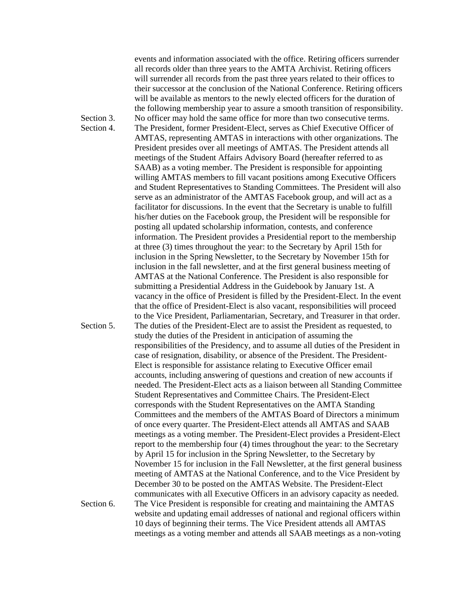events and information associated with the office. Retiring officers surrender all records older than three years to the AMTA Archivist. Retiring officers will surrender all records from the past three years related to their offices to their successor at the conclusion of the National Conference. Retiring officers will be available as mentors to the newly elected officers for the duration of the following membership year to assure a smooth transition of responsibility. Section 3. No officer may hold the same office for more than two consecutive terms. Section 4. The President, former President-Elect, serves as Chief Executive Officer of AMTAS, representing AMTAS in interactions with other organizations. The President presides over all meetings of AMTAS. The President attends all meetings of the Student Affairs Advisory Board (hereafter referred to as SAAB) as a voting member. The President is responsible for appointing willing AMTAS members to fill vacant positions among Executive Officers and Student Representatives to Standing Committees. The President will also serve as an administrator of the AMTAS Facebook group, and will act as a facilitator for discussions. In the event that the Secretary is unable to fulfill his/her duties on the Facebook group, the President will be responsible for posting all updated scholarship information, contests, and conference information. The President provides a Presidential report to the membership at three (3) times throughout the year: to the Secretary by April 15th for inclusion in the Spring Newsletter, to the Secretary by November 15th for inclusion in the fall newsletter, and at the first general business meeting of AMTAS at the National Conference. The President is also responsible for submitting a Presidential Address in the Guidebook by January 1st. A vacancy in the office of President is filled by the President-Elect. In the event that the office of President-Elect is also vacant, responsibilities will proceed to the Vice President, Parliamentarian, Secretary, and Treasurer in that order. Section 5. The duties of the President-Elect are to assist the President as requested, to study the duties of the President in anticipation of assuming the responsibilities of the Presidency, and to assume all duties of the President in case of resignation, disability, or absence of the President. The President- Elect is responsible for assistance relating to Executive Officer email accounts, including answering of questions and creation of new accounts if needed. The President-Elect acts as a liaison between all Standing Committee Student Representatives and Committee Chairs. The President-Elect corresponds with the Student Representatives on the AMTA Standing Committees and the members of the AMTAS Board of Directors a minimum of once every quarter. The President-Elect attends all AMTAS and SAAB meetings as a voting member. The President-Elect provides a President-Elect report to the membership four (4) times throughout the year: to the Secretary by April 15 for inclusion in the Spring Newsletter, to the Secretary by November 15 for inclusion in the Fall Newsletter, at the first general business meeting of AMTAS at the National Conference, and to the Vice President by December 30 to be posted on the AMTAS Website. The President-Elect communicates with all Executive Officers in an advisory capacity as needed. Section 6. The Vice President is responsible for creating and maintaining the AMTAS website and updating email addresses of national and regional officers within 10 days of beginning their terms. The Vice President attends all AMTAS meetings as a voting member and attends all SAAB meetings as a non-voting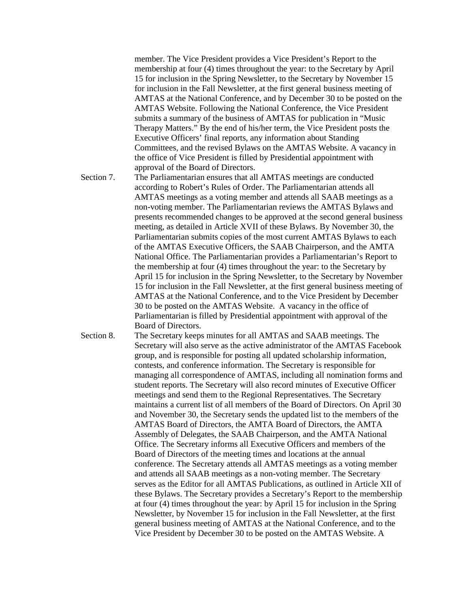member. The Vice President provides a Vice President's Report to the membership at four (4) times throughout the year: to the Secretary by April 15 for inclusion in the Spring Newsletter, to the Secretary by November 15 for inclusion in the Fall Newsletter, at the first general business meeting of AMTAS at the National Conference, and by December 30 to be posted on the AMTAS Website. Following the National Conference, the Vice President submits a summary of the business of AMTAS for publication in "Music Therapy Matters." By the end of his/her term, the Vice President posts the Executive Officers' final reports, any information about Standing Committees, and the revised Bylaws on the AMTAS Website. A vacancy in the office of Vice President is filled by Presidential appointment with approval of the Board of Directors.

- Section 7. The Parliamentarian ensures that all AMTAS meetings are conducted according to Robert's Rules of Order. The Parliamentarian attends all AMTAS meetings as a voting member and attends all SAAB meetings as a non-voting member. The Parliamentarian reviews the AMTAS Bylaws and presents recommended changes to be approved at the second general business meeting, as detailed in Article XVII of these Bylaws. By November 30, the Parliamentarian submits copies of the most current AMTAS Bylaws to each of the AMTAS Executive Officers, the SAAB Chairperson, and the AMTA National Office. The Parliamentarian provides a Parliamentarian's Report to the membership at four (4) times throughout the year: to the Secretary by April 15 for inclusion in the Spring Newsletter, to the Secretary by November 15 for inclusion in the Fall Newsletter, at the first general business meeting of AMTAS at the National Conference, and to the Vice President by December 30 to be posted on the AMTAS Website. A vacancy in the office of Parliamentarian is filled by Presidential appointment with approval of the Board of Directors.
- Section 8. The Secretary keeps minutes for all AMTAS and SAAB meetings. The Secretary will also serve as the active administrator of the AMTAS Facebook group, and is responsible for posting all updated scholarship information, contests, and conference information. The Secretary is responsible for managing all correspondence of AMTAS, including all nomination forms and student reports. The Secretary will also record minutes of Executive Officer meetings and send them to the Regional Representatives. The Secretary maintains a current list of all members of the Board of Directors. On April 30 and November 30, the Secretary sends the updated list to the members of the AMTAS Board of Directors, the AMTA Board of Directors, the AMTA Assembly of Delegates, the SAAB Chairperson, and the AMTA National Office. The Secretary informs all Executive Officers and members of the Board of Directors of the meeting times and locations at the annual conference. The Secretary attends all AMTAS meetings as a voting member and attends all SAAB meetings as a non-voting member. The Secretary serves as the Editor for all AMTAS Publications, as outlined in Article XII of these Bylaws. The Secretary provides a Secretary's Report to the membership at four (4) times throughout the year: by April 15 for inclusion in the Spring Newsletter, by November 15 for inclusion in the Fall Newsletter, at the first general business meeting of AMTAS at the National Conference, and to the Vice President by December 30 to be posted on the AMTAS Website. A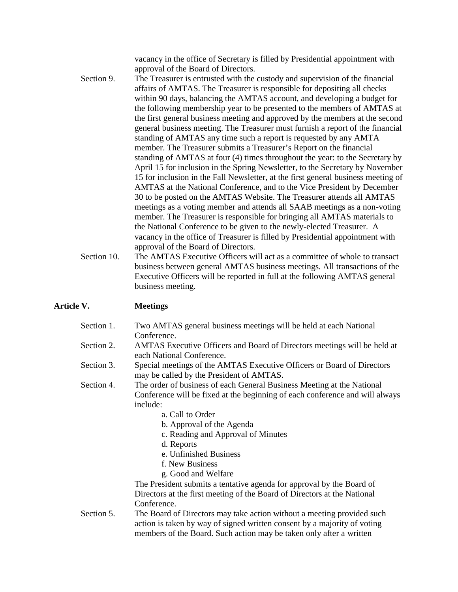vacancy in the office of Secretary is filled by Presidential appointment with approval of the Board of Directors.

- Section 9. The Treasurer is entrusted with the custody and supervision of the financial affairs of AMTAS. The Treasurer is responsible for depositing all checks within 90 days, balancing the AMTAS account, and developing a budget for the following membership year to be presented to the members of AMTAS at the first general business meeting and approved by the members at the second general business meeting. The Treasurer must furnish a report of the financial standing of AMTAS any time such a report is requested by any AMTA member. The Treasurer submits a Treasurer's Report on the financial standing of AMTAS at four (4) times throughout the year: to the Secretary by April 15 for inclusion in the Spring Newsletter, to the Secretary by November 15 for inclusion in the Fall Newsletter, at the first general business meeting of AMTAS at the National Conference, and to the Vice President by December 30 to be posted on the AMTAS Website. The Treasurer attends all AMTAS meetings as a voting member and attends all SAAB meetings as a non-voting member. The Treasurer is responsible for bringing all AMTAS materials to the National Conference to be given to the newly-elected Treasurer. A vacancy in the office of Treasurer is filled by Presidential appointment with approval of the Board of Directors.
- Section 10. The AMTAS Executive Officers will act as a committee of whole to transact business between general AMTAS business meetings. All transactions of the Executive Officers will be reported in full at the following AMTAS general business meeting.

#### **Article V. Meetings**

| Section 2.<br>AMTAS Executive Officers and Board of Directors meetings will be held at<br>each National Conference.<br>Section 3.<br>Special meetings of the AMTAS Executive Officers or Board of Directors<br>may be called by the President of AMTAS.<br>Section 4.<br>The order of business of each General Business Meeting at the National<br>Conference will be fixed at the beginning of each conference and will always<br>include:<br>a. Call to Order<br>b. Approval of the Agenda<br>c. Reading and Approval of Minutes<br>d. Reports<br>e. Unfinished Business<br>f. New Business<br>g. Good and Welfare<br>The President submits a tentative agenda for approval by the Board of<br>Directors at the first meeting of the Board of Directors at the National<br>Conference. | Section 1. | Two AMTAS general business meetings will be held at each National<br>Conference. |  |  |
|------------------------------------------------------------------------------------------------------------------------------------------------------------------------------------------------------------------------------------------------------------------------------------------------------------------------------------------------------------------------------------------------------------------------------------------------------------------------------------------------------------------------------------------------------------------------------------------------------------------------------------------------------------------------------------------------------------------------------------------------------------------------------------------|------------|----------------------------------------------------------------------------------|--|--|
|                                                                                                                                                                                                                                                                                                                                                                                                                                                                                                                                                                                                                                                                                                                                                                                          |            |                                                                                  |  |  |
|                                                                                                                                                                                                                                                                                                                                                                                                                                                                                                                                                                                                                                                                                                                                                                                          |            |                                                                                  |  |  |
|                                                                                                                                                                                                                                                                                                                                                                                                                                                                                                                                                                                                                                                                                                                                                                                          |            |                                                                                  |  |  |
|                                                                                                                                                                                                                                                                                                                                                                                                                                                                                                                                                                                                                                                                                                                                                                                          |            |                                                                                  |  |  |
|                                                                                                                                                                                                                                                                                                                                                                                                                                                                                                                                                                                                                                                                                                                                                                                          |            |                                                                                  |  |  |
|                                                                                                                                                                                                                                                                                                                                                                                                                                                                                                                                                                                                                                                                                                                                                                                          |            |                                                                                  |  |  |
|                                                                                                                                                                                                                                                                                                                                                                                                                                                                                                                                                                                                                                                                                                                                                                                          |            |                                                                                  |  |  |
|                                                                                                                                                                                                                                                                                                                                                                                                                                                                                                                                                                                                                                                                                                                                                                                          |            |                                                                                  |  |  |
|                                                                                                                                                                                                                                                                                                                                                                                                                                                                                                                                                                                                                                                                                                                                                                                          |            |                                                                                  |  |  |
|                                                                                                                                                                                                                                                                                                                                                                                                                                                                                                                                                                                                                                                                                                                                                                                          |            |                                                                                  |  |  |
|                                                                                                                                                                                                                                                                                                                                                                                                                                                                                                                                                                                                                                                                                                                                                                                          |            |                                                                                  |  |  |
|                                                                                                                                                                                                                                                                                                                                                                                                                                                                                                                                                                                                                                                                                                                                                                                          |            |                                                                                  |  |  |
|                                                                                                                                                                                                                                                                                                                                                                                                                                                                                                                                                                                                                                                                                                                                                                                          |            |                                                                                  |  |  |
| action is taken by way of signed written consent by a majority of voting<br>members of the Board. Such action may be taken only after a written                                                                                                                                                                                                                                                                                                                                                                                                                                                                                                                                                                                                                                          | Section 5. | The Board of Directors may take action without a meeting provided such           |  |  |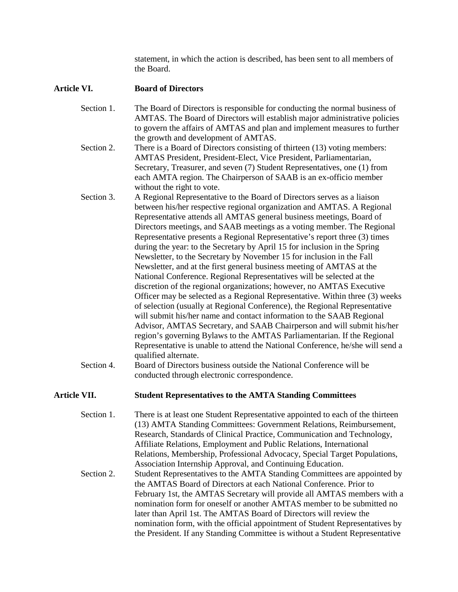statement, in which the action is described, has been sent to all members of the Board.

#### **Article VI. Board of Directors**

- Section 1. The Board of Directors is responsible for conducting the normal business of AMTAS. The Board of Directors will establish major administrative policies to govern the affairs of AMTAS and plan and implement measures to further the growth and development of AMTAS.
- Section 2. There is a Board of Directors consisting of thirteen (13) voting members: AMTAS President, President-Elect, Vice President, Parliamentarian, Secretary, Treasurer, and seven (7) Student Representatives, one (1) from each AMTA region. The Chairperson of SAAB is an ex-officio member without the right to vote.
- Section 3. A Regional Representative to the Board of Directors serves as a liaison between his/her respective regional organization and AMTAS. A Regional Representative attends all AMTAS general business meetings, Board of Directors meetings, and SAAB meetings as a voting member. The Regional Representative presents a Regional Representative's report three (3) times during the year: to the Secretary by April 15 for inclusion in the Spring Newsletter, to the Secretary by November 15 for inclusion in the Fall Newsletter, and at the first general business meeting of AMTAS at the National Conference. Regional Representatives will be selected at the discretion of the regional organizations; however, no AMTAS Executive Officer may be selected as a Regional Representative. Within three (3) weeks of selection (usually at Regional Conference), the Regional Representative will submit his/her name and contact information to the SAAB Regional Advisor, AMTAS Secretary, and SAAB Chairperson and will submit his/her region's governing Bylaws to the AMTAS Parliamentarian. If the Regional Representative is unable to attend the National Conference, he/she will send a qualified alternate.
- Section 4. Board of Directors business outside the National Conference will be conducted through electronic correspondence.

#### **Article VII. Student Representatives to the AMTA Standing Committees**

- Section 1. There is at least one Student Representative appointed to each of the thirteen (13) AMTA Standing Committees: Government Relations, Reimbursement, Research, Standards of Clinical Practice, Communication and Technology, Affiliate Relations, Employment and Public Relations, International Relations, Membership, Professional Advocacy, Special Target Populations, Association Internship Approval, and Continuing Education. Section 2. Student Representatives to the AMTA Standing Committees are appointed by
- the AMTAS Board of Directors at each National Conference. Prior to February 1st, the AMTAS Secretary will provide all AMTAS members with a nomination form for oneself or another AMTAS member to be submitted no later than April 1st. The AMTAS Board of Directors will review the nomination form, with the official appointment of Student Representatives by the President. If any Standing Committee is without a Student Representative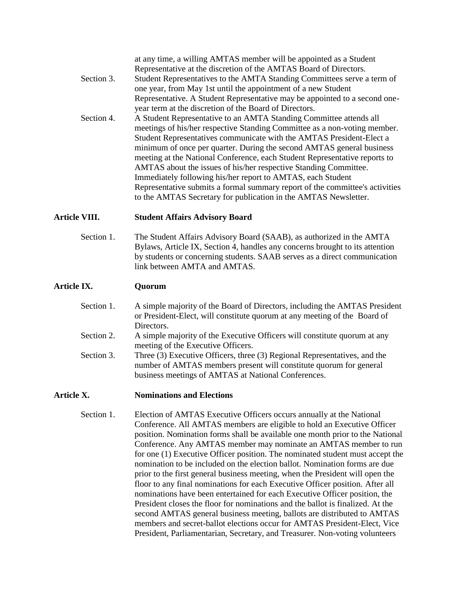at any time, a willing AMTAS member will be appointed as a Student Representative at the discretion of the AMTAS Board of Directors. Section 3. Student Representatives to the AMTA Standing Committees serve a term of one year, from May 1st until the appointment of a new Student Representative. A Student Representative may be appointed to a second one year term at the discretion of the Board of Directors. Section 4. A Student Representative to an AMTA Standing Committee attends all meetings of his/her respective Standing Committee as a non-voting member. Student Representatives communicate with the AMTAS President-Elect a minimum of once per quarter. During the second AMTAS general business meeting at the National Conference, each Student Representative reports to AMTAS about the issues of his/her respective Standing Committee. Immediately following his/her report to AMTAS, each Student Representative submits a formal summary report of the committee's activities

# to the AMTAS Secretary for publication in the AMTAS Newsletter.

#### **Article VIII. Student Affairs Advisory Board**

Section 1. The Student Affairs Advisory Board (SAAB), as authorized in the AMTA Bylaws, Article IX, Section 4, handles any concerns brought to its attention by students or concerning students. SAAB serves as a direct communication link between AMTA and AMTAS.

#### **Article IX. Quorum**

- Section 1. A simple majority of the Board of Directors, including the AMTAS President or President-Elect, will constitute quorum at any meeting of the Board of Directors.
- Section 2. A simple majority of the Executive Officers will constitute quorum at any meeting of the Executive Officers.
- Section 3. Three (3) Executive Officers, three (3) Regional Representatives, and the number of AMTAS members present will constitute quorum for general business meetings of AMTAS at National Conferences.

#### **Article X. Nominations and Elections**

Section 1. Election of AMTAS Executive Officers occurs annually at the National Conference. All AMTAS members are eligible to hold an Executive Officer position. Nomination forms shall be available one month prior to the National Conference. Any AMTAS member may nominate an AMTAS member to run for one (1) Executive Officer position. The nominated student must accept the nomination to be included on the election ballot. Nomination forms are due prior to the first general business meeting, when the President will open the floor to any final nominations for each Executive Officer position. After all nominations have been entertained for each Executive Officer position, the President closes the floor for nominations and the ballot is finalized. At the second AMTAS general business meeting, ballots are distributed to AMTAS members and secret-ballot elections occur for AMTAS President-Elect, Vice President, Parliamentarian, Secretary, and Treasurer. Non-voting volunteers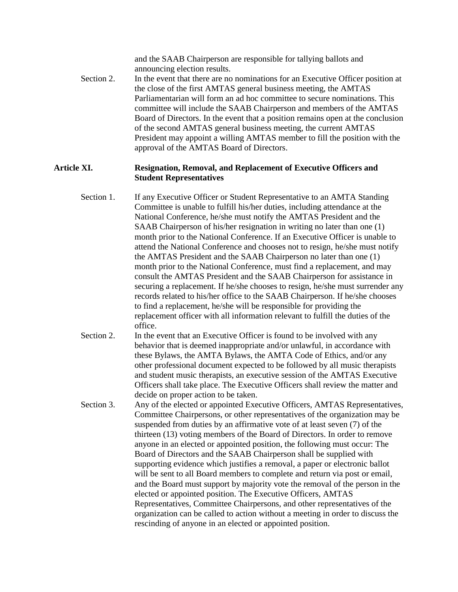and the SAAB Chairperson are responsible for tallying ballots and announcing election results.

Section 2. In the event that there are no nominations for an Executive Officer position at the close of the first AMTAS general business meeting, the AMTAS Parliamentarian will form an ad hoc committee to secure nominations. This committee will include the SAAB Chairperson and members of the AMTAS Board of Directors. In the event that a position remains open at the conclusion of the second AMTAS general business meeting, the current AMTAS President may appoint a willing AMTAS member to fill the position with the approval of the AMTAS Board of Directors.

#### **Article XI. Resignation, Removal, and Replacement of Executive Officers and Student Representatives**

- Section 1. If any Executive Officer or Student Representative to an AMTA Standing Committee is unable to fulfill his/her duties, including attendance at the National Conference, he/she must notify the AMTAS President and the SAAB Chairperson of his/her resignation in writing no later than one (1) month prior to the National Conference. If an Executive Officer is unable to attend the National Conference and chooses not to resign, he/she must notify the AMTAS President and the SAAB Chairperson no later than one (1) month prior to the National Conference, must find a replacement, and may consult the AMTAS President and the SAAB Chairperson for assistance in securing a replacement. If he/she chooses to resign, he/she must surrender any records related to his/her office to the SAAB Chairperson. If he/she chooses to find a replacement, he/she will be responsible for providing the replacement officer with all information relevant to fulfill the duties of the office.
- Section 2. In the event that an Executive Officer is found to be involved with any behavior that is deemed inappropriate and/or unlawful, in accordance with these Bylaws, the AMTA Bylaws, the AMTA Code of Ethics, and/or any other professional document expected to be followed by all music therapists and student music therapists, an executive session of the AMTAS Executive Officers shall take place. The Executive Officers shall review the matter and decide on proper action to be taken.
- Section 3. Any of the elected or appointed Executive Officers, AMTAS Representatives, Committee Chairpersons, or other representatives of the organization may be suspended from duties by an affirmative vote of at least seven (7) of the thirteen (13) voting members of the Board of Directors. In order to remove anyone in an elected or appointed position, the following must occur: The Board of Directors and the SAAB Chairperson shall be supplied with supporting evidence which justifies a removal, a paper or electronic ballot will be sent to all Board members to complete and return via post or email, and the Board must support by majority vote the removal of the person in the elected or appointed position. The Executive Officers, AMTAS Representatives, Committee Chairpersons, and other representatives of the organization can be called to action without a meeting in order to discuss the rescinding of anyone in an elected or appointed position.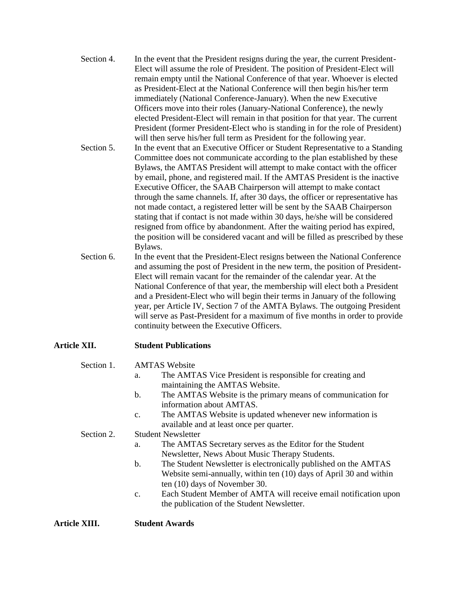- Section 4. In the event that the President resigns during the year, the current President- Elect will assume the role of President. The position of President-Elect will remain empty until the National Conference of that year. Whoever is elected as President-Elect at the National Conference will then begin his/her term immediately (National Conference-January). When the new Executive Officers move into their roles (January-National Conference), the newly elected President-Elect will remain in that position for that year. The current President (former President-Elect who is standing in for the role of President) will then serve his/her full term as President for the following year.
- Section 5. In the event that an Executive Officer or Student Representative to a Standing Committee does not communicate according to the plan established by these Bylaws, the AMTAS President will attempt to make contact with the officer by email, phone, and registered mail. If the AMTAS President is the inactive Executive Officer, the SAAB Chairperson will attempt to make contact through the same channels. If, after 30 days, the officer or representative has not made contact, a registered letter will be sent by the SAAB Chairperson stating that if contact is not made within 30 days, he/she will be considered resigned from office by abandonment. After the waiting period has expired, the position will be considered vacant and will be filled as prescribed by these Bylaws.
- Section 6. In the event that the President-Elect resigns between the National Conference and assuming the post of President in the new term, the position of President- Elect will remain vacant for the remainder of the calendar year. At the National Conference of that year, the membership will elect both a President and a President-Elect who will begin their terms in January of the following year, per Article IV, Section 7 of the AMTA Bylaws. The outgoing President will serve as Past-President for a maximum of five months in order to provide continuity between the Executive Officers.

# **Article XII. Student Publications**

- Section 1. AMTAS Website
	- a. The AMTAS Vice President is responsible for creating and maintaining the AMTAS Website.
	- b. The AMTAS Website is the primary means of communication for information about AMTAS.
	- c. The AMTAS Website is updated whenever new information is available and at least once per quarter.

#### Section 2. Student Newsletter

- a. The AMTAS Secretary serves as the Editor for the Student Newsletter, News About Music Therapy Students.
- b. The Student Newsletter is electronically published on the AMTAS Website semi-annually, within ten (10) days of April 30 and within ten (10) days of November 30.
- c. Each Student Member of AMTA will receive email notification upon the publication of the Student Newsletter.

**Article XIII. Student Awards**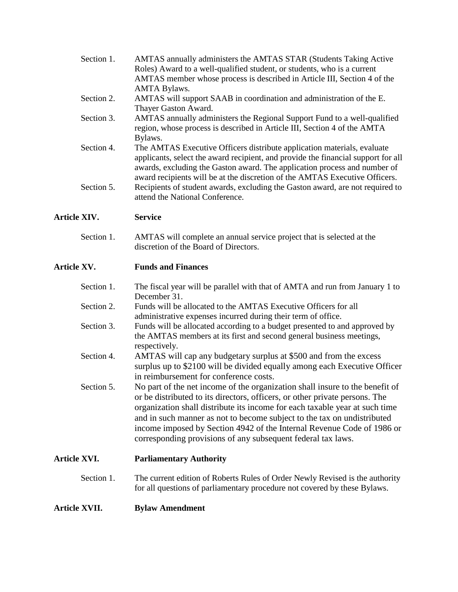| Section 1. | AMTAS annually administers the AMTAS STAR (Students Taking Active                 |
|------------|-----------------------------------------------------------------------------------|
|            | Roles) Award to a well-qualified student, or students, who is a current           |
|            | AMTAS member whose process is described in Article III, Section 4 of the          |
|            | <b>AMTA Bylaws.</b>                                                               |
| Section 2. | AMTAS will support SAAB in coordination and administration of the E.              |
|            | Thayer Gaston Award.                                                              |
| Section 3. | AMTAS annually administers the Regional Support Fund to a well-qualified          |
|            | region, whose process is described in Article III, Section 4 of the AMTA          |
|            | Bylaws.                                                                           |
| Section 4. | The AMTAS Executive Officers distribute application materials, evaluate           |
|            | applicants, select the award recipient, and provide the financial support for all |
|            | awards, excluding the Gaston award. The application process and number of         |
|            | award recipients will be at the discretion of the AMTAS Executive Officers.       |
| Section 5. | Recipients of student awards, excluding the Gaston award, are not required to     |
|            | attend the National Conference.                                                   |
|            |                                                                                   |

# **Article XIV. Service**

Section 1. AMTAS will complete an annual service project that is selected at the discretion of the Board of Directors.

# **Article XV. Funds and Finances**

| Section 1.          | The fiscal year will be parallel with that of AMTA and run from January 1 to<br>December 31.                                                                                                                                                                                                                                                                                                                                                                    |
|---------------------|-----------------------------------------------------------------------------------------------------------------------------------------------------------------------------------------------------------------------------------------------------------------------------------------------------------------------------------------------------------------------------------------------------------------------------------------------------------------|
| Section 2.          | Funds will be allocated to the AMTAS Executive Officers for all<br>administrative expenses incurred during their term of office.                                                                                                                                                                                                                                                                                                                                |
| Section 3.          | Funds will be allocated according to a budget presented to and approved by<br>the AMTAS members at its first and second general business meetings,<br>respectively.                                                                                                                                                                                                                                                                                             |
| Section 4.          | AMTAS will cap any budgetary surplus at \$500 and from the excess<br>surplus up to \$2100 will be divided equally among each Executive Officer<br>in reimbursement for conference costs.                                                                                                                                                                                                                                                                        |
| Section 5.          | No part of the net income of the organization shall insure to the benefit of<br>or be distributed to its directors, officers, or other private persons. The<br>organization shall distribute its income for each taxable year at such time<br>and in such manner as not to become subject to the tax on undistributed<br>income imposed by Section 4942 of the Internal Revenue Code of 1986 or<br>corresponding provisions of any subsequent federal tax laws. |
| <b>Article XVI.</b> | <b>Parliamentary Authority</b>                                                                                                                                                                                                                                                                                                                                                                                                                                  |

# Section 1. The current edition of Roberts Rules of Order Newly Revised is the authority for all questions of parliamentary procedure not covered by these Bylaws.

# **Article XVII. Bylaw Amendment**